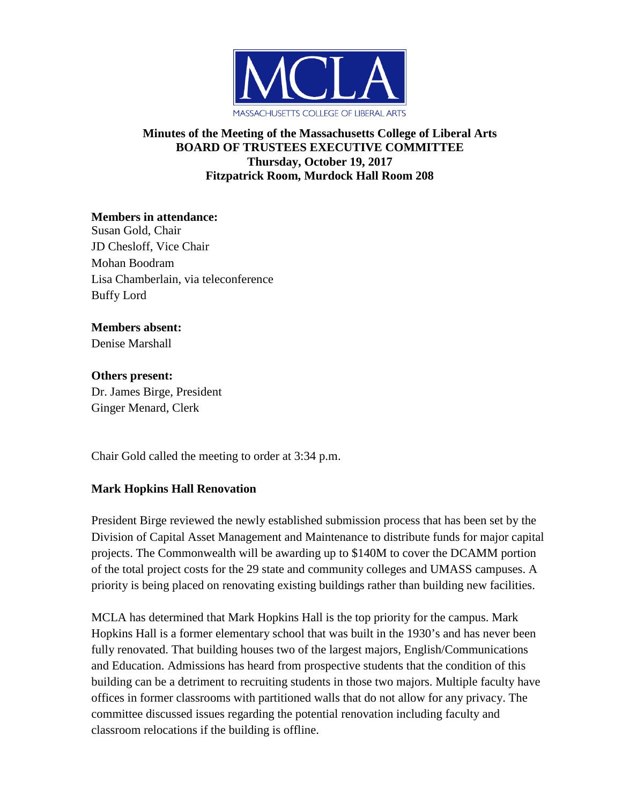

### **Minutes of the Meeting of the Massachusetts College of Liberal Arts BOARD OF TRUSTEES EXECUTIVE COMMITTEE Thursday, October 19, 2017 Fitzpatrick Room, Murdock Hall Room 208**

**Members in attendance:** Susan Gold, Chair JD Chesloff, Vice Chair Mohan Boodram Lisa Chamberlain, via teleconference Buffy Lord

#### **Members absent:** Denise Marshall

**Others present:** Dr. James Birge, President Ginger Menard, Clerk

Chair Gold called the meeting to order at 3:34 p.m.

# **Mark Hopkins Hall Renovation**

President Birge reviewed the newly established submission process that has been set by the Division of Capital Asset Management and Maintenance to distribute funds for major capital projects. The Commonwealth will be awarding up to \$140M to cover the DCAMM portion of the total project costs for the 29 state and community colleges and UMASS campuses. A priority is being placed on renovating existing buildings rather than building new facilities.

MCLA has determined that Mark Hopkins Hall is the top priority for the campus. Mark Hopkins Hall is a former elementary school that was built in the 1930's and has never been fully renovated. That building houses two of the largest majors, English/Communications and Education. Admissions has heard from prospective students that the condition of this building can be a detriment to recruiting students in those two majors. Multiple faculty have offices in former classrooms with partitioned walls that do not allow for any privacy. The committee discussed issues regarding the potential renovation including faculty and classroom relocations if the building is offline.